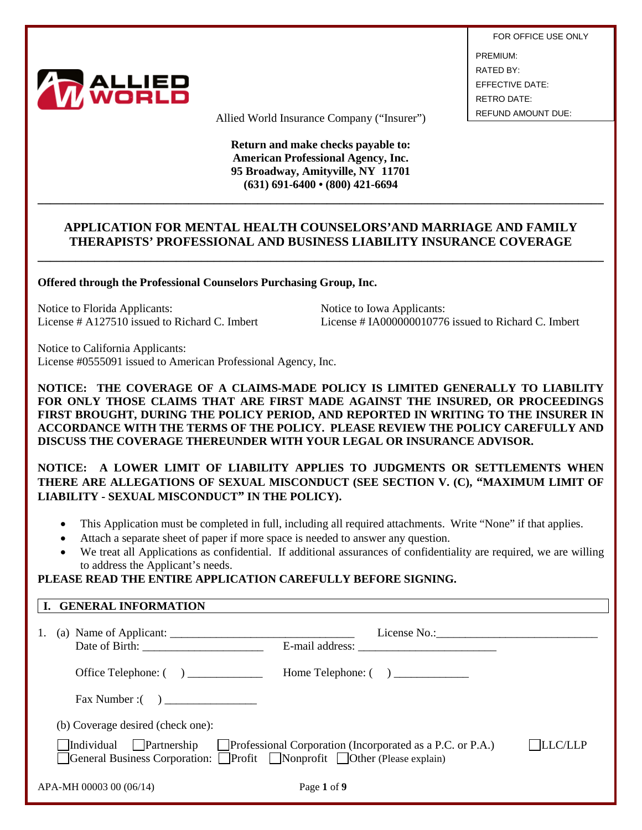

FOR OFFICE USE ONLY PREMIUM: RATED BY: EFFECTIVE DATE: RETRO DATE:

Allied World Insurance Company ("Insurer") REFUND AMOUNT DUE:

**Return and make checks payable to: American Professional Agency, Inc. 95 Broadway, Amityville, NY 11701 (631) 691-6400 • (800) 421-6694**

## **APPLICATION FOR MENTAL HEALTH COUNSELORS'AND MARRIAGE AND FAMILY THERAPISTS' PROFESSIONAL AND BUSINESS LIABILITY INSURANCE COVERAGE**

**\_\_\_\_\_\_\_\_\_\_\_\_\_\_\_\_\_\_\_\_\_\_\_\_\_\_\_\_\_\_\_\_\_\_\_\_\_\_\_\_\_\_\_\_\_\_\_\_\_\_\_\_\_\_\_\_\_\_\_\_\_\_\_\_\_\_\_\_\_\_\_\_\_\_\_\_\_\_\_\_\_\_\_\_\_\_\_\_\_\_**

**\_\_\_\_\_\_\_\_\_\_\_\_\_\_\_\_\_\_\_\_\_\_\_\_\_\_\_\_\_\_\_\_\_\_\_\_\_\_\_\_\_\_\_\_\_\_\_\_\_\_\_\_\_\_\_\_\_\_\_\_\_\_\_\_\_\_\_\_\_\_\_\_\_\_\_\_\_\_\_\_\_\_\_\_\_\_\_\_\_\_**

**Offered through the Professional Counselors Purchasing Group, Inc.**

Notice to Florida Applicants:<br>
License # A127510 issued to Richard C. Imbert<br>
License # IA000000010776

License  $\#$  IA000000010776 issued to Richard C. Imbert

Notice to California Applicants: License #0555091 issued to American Professional Agency, Inc.

**NOTICE: THE COVERAGE OF A CLAIMS-MADE POLICY IS LIMITED GENERALLY TO LIABILITY FOR ONLY THOSE CLAIMS THAT ARE FIRST MADE AGAINST THE INSURED, OR PROCEEDINGS FIRST BROUGHT, DURING THE POLICY PERIOD, AND REPORTED IN WRITING TO THE INSURER IN ACCORDANCE WITH THE TERMS OF THE POLICY. PLEASE REVIEW THE POLICY CAREFULLY AND DISCUSS THE COVERAGE THEREUNDER WITH YOUR LEGAL OR INSURANCE ADVISOR.** 

**NOTICE: A LOWER LIMIT OF LIABILITY APPLIES TO JUDGMENTS OR SETTLEMENTS WHEN THERE ARE ALLEGATIONS OF SEXUAL MISCONDUCT (SEE SECTION V. (C), "MAXIMUM LIMIT OF LIABILITY - SEXUAL MISCONDUCT" IN THE POLICY).** 

- This Application must be completed in full, including all required attachments. Write "None" if that applies.
- Attach a separate sheet of paper if more space is needed to answer any question.
- We treat all Applications as confidential. If additional assurances of confidentiality are required, we are willing to address the Applicant's needs.

# **PLEASE READ THE ENTIRE APPLICATION CAREFULLY BEFORE SIGNING.**

|    | I. GENERAL INFORMATION                                                                                                                                                                                                                                                                                                                                                                                    |
|----|-----------------------------------------------------------------------------------------------------------------------------------------------------------------------------------------------------------------------------------------------------------------------------------------------------------------------------------------------------------------------------------------------------------|
| 1. | (a) Name of Applicant: $\frac{1}{\sqrt{1-\frac{1}{2}}}\left\{ \frac{1}{2}, \frac{1}{2}, \frac{1}{2}, \frac{1}{2}, \frac{1}{2}, \frac{1}{2}, \frac{1}{2}, \frac{1}{2}, \frac{1}{2}, \frac{1}{2}, \frac{1}{2}, \frac{1}{2}, \frac{1}{2}, \frac{1}{2}, \frac{1}{2}, \frac{1}{2}, \frac{1}{2}, \frac{1}{2}, \frac{1}{2}, \frac{1}{2}, \frac{1}{2}, \frac{1}{2}, \frac{1}{2}, \frac{1}{2}, \frac{1}{2}, \frac$ |
|    | Office Telephone: $\begin{pmatrix} 1 & 1 \\ 1 & 1 \end{pmatrix}$                                                                                                                                                                                                                                                                                                                                          |
|    |                                                                                                                                                                                                                                                                                                                                                                                                           |
|    | (b) Coverage desired (check one):                                                                                                                                                                                                                                                                                                                                                                         |
|    | <b>LLC/LLP</b><br>Individual Partnership<br>$\Box$ Professional Corporation (Incorporated as a P.C. or P.A.)<br>General Business Corporation: □Profit □Nonprofit □Other (Please explain)                                                                                                                                                                                                                  |
|    | APA-MH 00003 00 (06/14)<br>Page 1 of 9                                                                                                                                                                                                                                                                                                                                                                    |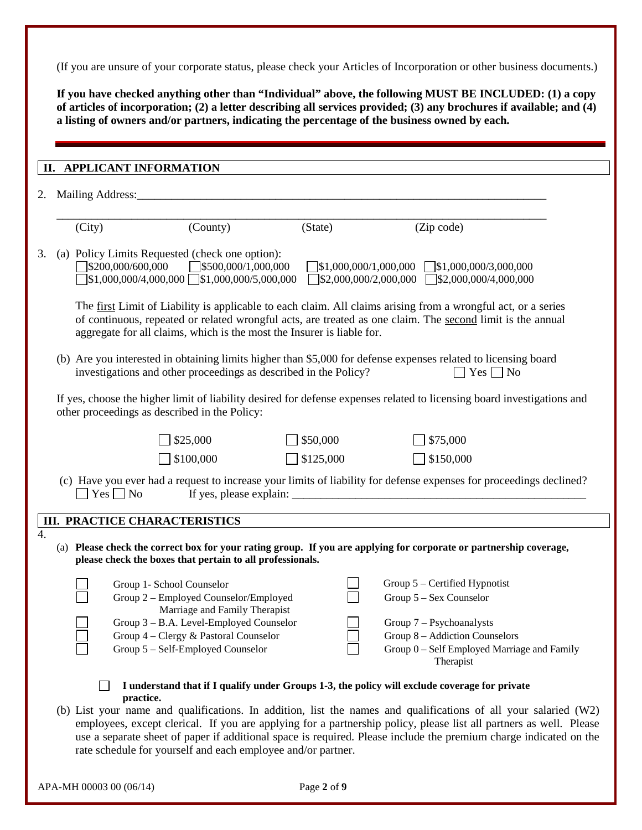(If you are unsure of your corporate status, please check your Articles of Incorporation or other business documents.)

**If you have checked anything other than "Individual" above, the following MUST BE INCLUDED: (1) a copy of articles of incorporation; (2) a letter describing all services provided; (3) any brochures if available; and (4) a listing of owners and/or partners, indicating the percentage of the business owned by each.**

| Mailing Address:<br>2.<br><u> 1980 - John Stein, Amerikaansk politiker († 1908)</u>                                                                                      |                                                                                                                                                                                                            |           |                                                                                                                                                                                                                             |  |  |  |  |  |
|--------------------------------------------------------------------------------------------------------------------------------------------------------------------------|------------------------------------------------------------------------------------------------------------------------------------------------------------------------------------------------------------|-----------|-----------------------------------------------------------------------------------------------------------------------------------------------------------------------------------------------------------------------------|--|--|--|--|--|
| (City)                                                                                                                                                                   | (County)                                                                                                                                                                                                   | (State)   | (Zip code)                                                                                                                                                                                                                  |  |  |  |  |  |
|                                                                                                                                                                          | (a) Policy Limits Requested (check one option):<br>$\left  \frac{$200,000}{600,000} \right $ $\left  \frac{$500,000}{1,000,000} \right $<br>$\left] \$1,000,000/4,000,000 \right] \$ \$1,000,000/5,000,000 |           | $\left  \$1,000,000/1,000,000 \right  \quad \left  \$1,000,000/3,000,000 \right $<br>$\sqrt{$2,000,000/2,000,000}$ $\sqrt{$2,000,000/4,000,000}$                                                                            |  |  |  |  |  |
|                                                                                                                                                                          | aggregate for all claims, which is the most the Insurer is liable for.                                                                                                                                     |           | The first Limit of Liability is applicable to each claim. All claims arising from a wrongful act, or a series<br>of continuous, repeated or related wrongful acts, are treated as one claim. The second limit is the annual |  |  |  |  |  |
|                                                                                                                                                                          | investigations and other proceedings as described in the Policy?                                                                                                                                           |           | (b) Are you interested in obtaining limits higher than \$5,000 for defense expenses related to licensing board<br>$Yes \nightharpoonup No$                                                                                  |  |  |  |  |  |
| If yes, choose the higher limit of liability desired for defense expenses related to licensing board investigations and<br>other proceedings as described in the Policy: |                                                                                                                                                                                                            |           |                                                                                                                                                                                                                             |  |  |  |  |  |
|                                                                                                                                                                          |                                                                                                                                                                                                            |           |                                                                                                                                                                                                                             |  |  |  |  |  |
|                                                                                                                                                                          | \$25,000                                                                                                                                                                                                   | \$50,000  | \$75,000                                                                                                                                                                                                                    |  |  |  |  |  |
|                                                                                                                                                                          | \$100,000                                                                                                                                                                                                  | \$125,000 | \$150,000                                                                                                                                                                                                                   |  |  |  |  |  |
| $Yes \Box No$                                                                                                                                                            |                                                                                                                                                                                                            |           | (c) Have you ever had a request to increase your limits of liability for defense expenses for proceedings declined?                                                                                                         |  |  |  |  |  |
|                                                                                                                                                                          | <b>III. PRACTICE CHARACTERISTICS</b>                                                                                                                                                                       |           |                                                                                                                                                                                                                             |  |  |  |  |  |
|                                                                                                                                                                          | please check the boxes that pertain to all professionals.                                                                                                                                                  |           | (a) Please check the correct box for your rating group. If you are applying for corporate or partnership coverage,                                                                                                          |  |  |  |  |  |
|                                                                                                                                                                          | Group 1- School Counselor                                                                                                                                                                                  |           | Group 5 - Certified Hypnotist                                                                                                                                                                                               |  |  |  |  |  |
|                                                                                                                                                                          | Group 2 - Employed Counselor/Employed                                                                                                                                                                      |           | Group 5 - Sex Counselor                                                                                                                                                                                                     |  |  |  |  |  |
|                                                                                                                                                                          | Marriage and Family Therapist                                                                                                                                                                              |           |                                                                                                                                                                                                                             |  |  |  |  |  |
|                                                                                                                                                                          | Group 3 - B.A. Level-Employed Counselor<br>Group 4 - Clergy & Pastoral Counselor                                                                                                                           |           | Group $7 -$ Psychoanalysts<br>Group 8 - Addiction Counselors                                                                                                                                                                |  |  |  |  |  |
|                                                                                                                                                                          | Group 5 - Self-Employed Counselor                                                                                                                                                                          |           | Group 0 - Self Employed Marriage and Family<br>Therapist                                                                                                                                                                    |  |  |  |  |  |
|                                                                                                                                                                          | practice.                                                                                                                                                                                                  |           | I understand that if I qualify under Groups 1-3, the policy will exclude coverage for private                                                                                                                               |  |  |  |  |  |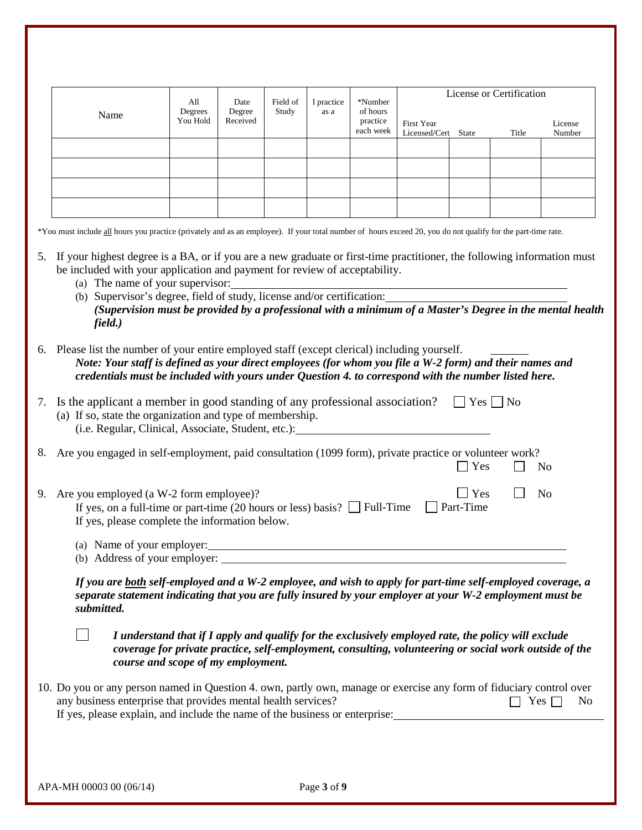|          |                                                                                                                                                                                                                                                                                                                                                                                                                                               | All                 |                    | Date<br>Field of | I practice | *Number                           | License or Certification                                                                                                                                                                                      |                  |                      |                   |
|----------|-----------------------------------------------------------------------------------------------------------------------------------------------------------------------------------------------------------------------------------------------------------------------------------------------------------------------------------------------------------------------------------------------------------------------------------------------|---------------------|--------------------|------------------|------------|-----------------------------------|---------------------------------------------------------------------------------------------------------------------------------------------------------------------------------------------------------------|------------------|----------------------|-------------------|
|          | Name                                                                                                                                                                                                                                                                                                                                                                                                                                          | Degrees<br>You Hold | Degree<br>Received | Study            | as a       | of hours<br>practice<br>each week | <b>First Year</b><br>Licensed/Cert                                                                                                                                                                            | State            | Title                | License<br>Number |
|          |                                                                                                                                                                                                                                                                                                                                                                                                                                               |                     |                    |                  |            |                                   |                                                                                                                                                                                                               |                  |                      |                   |
|          |                                                                                                                                                                                                                                                                                                                                                                                                                                               |                     |                    |                  |            |                                   |                                                                                                                                                                                                               |                  |                      |                   |
|          |                                                                                                                                                                                                                                                                                                                                                                                                                                               |                     |                    |                  |            |                                   |                                                                                                                                                                                                               |                  |                      |                   |
|          |                                                                                                                                                                                                                                                                                                                                                                                                                                               |                     |                    |                  |            |                                   |                                                                                                                                                                                                               |                  |                      |                   |
|          | *You must include all hours you practice (privately and as an employee). If your total number of hours exceed 20, you do not qualify for the part-time rate.                                                                                                                                                                                                                                                                                  |                     |                    |                  |            |                                   |                                                                                                                                                                                                               |                  |                      |                   |
|          | 5. If your highest degree is a BA, or if you are a new graduate or first-time practitioner, the following information must<br>be included with your application and payment for review of acceptability.<br>(a) The name of your supervisor:<br>(b) Supervisor's degree, field of study, license and/or certification:<br>(Supervision must be provided by a professional with a minimum of a Master's Degree in the mental health<br>field.) |                     |                    |                  |            |                                   |                                                                                                                                                                                                               |                  |                      |                   |
|          | 6. Please list the number of your entire employed staff (except clerical) including yourself.<br>Note: Your staff is defined as your direct employees (for whom you file a W-2 form) and their names and<br>credentials must be included with yours under Question 4, to correspond with the number listed here.                                                                                                                              |                     |                    |                  |            |                                   |                                                                                                                                                                                                               |                  |                      |                   |
|          |                                                                                                                                                                                                                                                                                                                                                                                                                                               |                     |                    |                  |            |                                   |                                                                                                                                                                                                               |                  |                      |                   |
|          | Is the applicant a member in good standing of any professional association?<br>(a) If so, state the organization and type of membership.<br>(i.e. Regular, Clinical, Associate, Student, etc.):                                                                                                                                                                                                                                               |                     |                    |                  |            |                                   |                                                                                                                                                                                                               |                  | $Yes \mid \text{No}$ |                   |
|          | Are you engaged in self-employment, paid consultation (1099 form), private practice or volunteer work?                                                                                                                                                                                                                                                                                                                                        |                     |                    |                  |            |                                   |                                                                                                                                                                                                               | Yes              |                      | N <sub>0</sub>    |
|          | 9. Are you employed (a W-2 form employee)?<br>If yes, on a full-time or part-time (20 hours or less) basis? $\Box$ Full-Time<br>If yes, please complete the information below.                                                                                                                                                                                                                                                                |                     |                    |                  |            |                                   |                                                                                                                                                                                                               | Yes<br>Part-Time |                      | N <sub>o</sub>    |
| 7.<br>8. | (b) Address of your employer:                                                                                                                                                                                                                                                                                                                                                                                                                 |                     |                    |                  |            |                                   |                                                                                                                                                                                                               |                  |                      |                   |
|          | If you are both self-employed and a W-2 employee, and wish to apply for part-time self-employed coverage, a<br>separate statement indicating that you are fully insured by your employer at your W-2 employment must be<br>submitted.                                                                                                                                                                                                         |                     |                    |                  |            |                                   |                                                                                                                                                                                                               |                  |                      |                   |
|          | course and scope of my employment.                                                                                                                                                                                                                                                                                                                                                                                                            |                     |                    |                  |            |                                   | I understand that if I apply and qualify for the exclusively employed rate, the policy will exclude<br>coverage for private practice, self-employment, consulting, volunteering or social work outside of the |                  |                      |                   |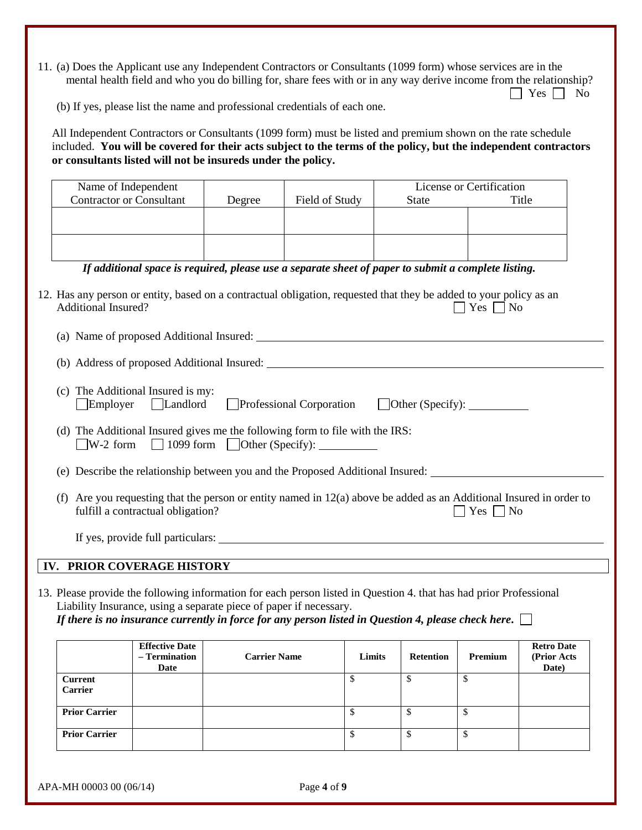11. (a) Does the Applicant use any Independent Contractors or Consultants (1099 form) whose services are in the mental health field and who you do billing for, share fees with or in any way derive income from the relationship?  $\Box$  Yes  $\Box$  No

(b) If yes, please list the name and professional credentials of each one.

All Independent Contractors or Consultants (1099 form) must be listed and premium shown on the rate schedule included. **You will be covered for their acts subject to the terms of the policy, but the independent contractors or consultants listed will not be insureds under the policy.**

|                                                                                                                                                                          | Name of Independent                                                                                                                                                                |                                                |                                                                    |                                                                                                                                                                                                                                  |                            | License or Certification |                                            |  |  |
|--------------------------------------------------------------------------------------------------------------------------------------------------------------------------|------------------------------------------------------------------------------------------------------------------------------------------------------------------------------------|------------------------------------------------|--------------------------------------------------------------------|----------------------------------------------------------------------------------------------------------------------------------------------------------------------------------------------------------------------------------|----------------------------|--------------------------|--------------------------------------------|--|--|
|                                                                                                                                                                          | <b>Contractor or Consultant</b>                                                                                                                                                    |                                                | Degree                                                             | Field of Study                                                                                                                                                                                                                   | <b>State</b>               |                          | Title                                      |  |  |
|                                                                                                                                                                          |                                                                                                                                                                                    |                                                |                                                                    |                                                                                                                                                                                                                                  |                            |                          |                                            |  |  |
|                                                                                                                                                                          |                                                                                                                                                                                    |                                                |                                                                    |                                                                                                                                                                                                                                  |                            |                          |                                            |  |  |
|                                                                                                                                                                          |                                                                                                                                                                                    |                                                |                                                                    |                                                                                                                                                                                                                                  |                            |                          |                                            |  |  |
|                                                                                                                                                                          |                                                                                                                                                                                    |                                                |                                                                    |                                                                                                                                                                                                                                  |                            |                          |                                            |  |  |
|                                                                                                                                                                          |                                                                                                                                                                                    |                                                |                                                                    | If additional space is required, please use a separate sheet of paper to submit a complete listing.                                                                                                                              |                            |                          |                                            |  |  |
| 12. Has any person or entity, based on a contractual obligation, requested that they be added to your policy as an<br><b>Additional Insured?</b><br>$\Box$ Yes $\Box$ No |                                                                                                                                                                                    |                                                |                                                                    |                                                                                                                                                                                                                                  |                            |                          |                                            |  |  |
|                                                                                                                                                                          |                                                                                                                                                                                    |                                                |                                                                    |                                                                                                                                                                                                                                  |                            |                          |                                            |  |  |
|                                                                                                                                                                          |                                                                                                                                                                                    |                                                |                                                                    |                                                                                                                                                                                                                                  |                            |                          |                                            |  |  |
|                                                                                                                                                                          | (c) The Additional Insured is my:<br>$\Box$ Employer<br>Landlord<br>Professional Corporation<br>□ Other (Specify): <u>● ○</u>                                                      |                                                |                                                                    |                                                                                                                                                                                                                                  |                            |                          |                                            |  |  |
|                                                                                                                                                                          | (d) The Additional Insured gives me the following form to file with the IRS:<br>$\nabla$ W-2 form                                                                                  |                                                |                                                                    |                                                                                                                                                                                                                                  |                            |                          |                                            |  |  |
|                                                                                                                                                                          |                                                                                                                                                                                    |                                                |                                                                    | (e) Describe the relationship between you and the Proposed Additional Insured:                                                                                                                                                   |                            |                          |                                            |  |  |
|                                                                                                                                                                          | (f) Are you requesting that the person or entity named in $12(a)$ above be added as an Additional Insured in order to<br>fulfill a contractual obligation?<br>$\Box$ Yes $\Box$ No |                                                |                                                                    |                                                                                                                                                                                                                                  |                            |                          |                                            |  |  |
|                                                                                                                                                                          |                                                                                                                                                                                    |                                                |                                                                    |                                                                                                                                                                                                                                  |                            |                          |                                            |  |  |
|                                                                                                                                                                          | IV. PRIOR COVERAGE HISTORY                                                                                                                                                         |                                                |                                                                    |                                                                                                                                                                                                                                  |                            |                          |                                            |  |  |
|                                                                                                                                                                          |                                                                                                                                                                                    |                                                | Liability Insurance, using a separate piece of paper if necessary. | 13. Please provide the following information for each person listed in Question 4. that has had prior Professional<br>If there is no insurance currently in force for any person listed in Question 4, please check here. $\Box$ |                            |                          |                                            |  |  |
|                                                                                                                                                                          |                                                                                                                                                                                    | <b>Effective Date</b><br>- Termination<br>Date | <b>Carrier Name</b>                                                |                                                                                                                                                                                                                                  | Limits<br><b>Retention</b> | Premium                  | <b>Retro Date</b><br>(Prior Acts)<br>Date) |  |  |
|                                                                                                                                                                          | <b>Current</b><br>Carrier                                                                                                                                                          |                                                |                                                                    | \$                                                                                                                                                                                                                               | \$                         | \$                       |                                            |  |  |
|                                                                                                                                                                          | <b>Prior Carrier</b>                                                                                                                                                               |                                                |                                                                    | \$                                                                                                                                                                                                                               | \$                         | \$                       |                                            |  |  |
|                                                                                                                                                                          | <b>Prior Carrier</b>                                                                                                                                                               |                                                |                                                                    | \$                                                                                                                                                                                                                               | \$                         | \$                       |                                            |  |  |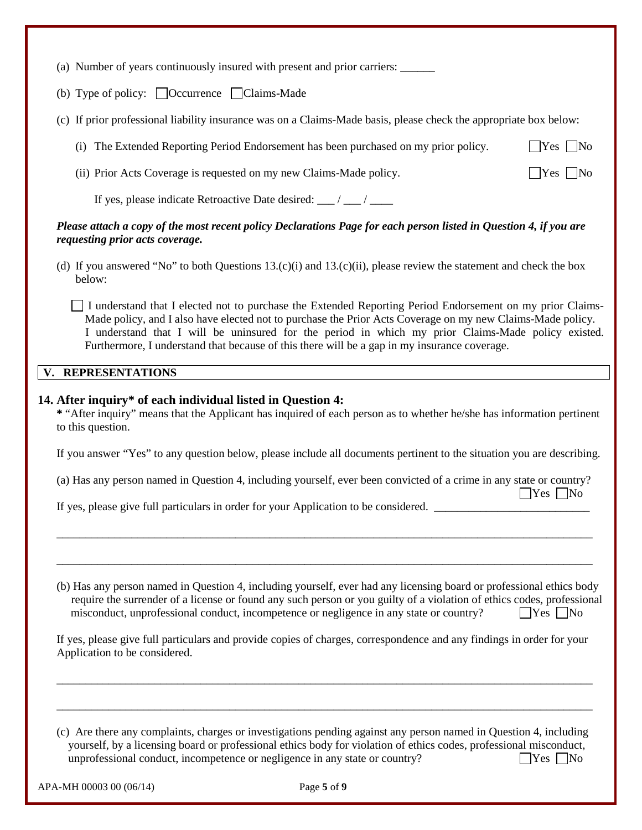| (a) Number of years continuously insured with present and prior carriers: ______                                                                                                                                                                                                                                                                                                                                              |                        |
|-------------------------------------------------------------------------------------------------------------------------------------------------------------------------------------------------------------------------------------------------------------------------------------------------------------------------------------------------------------------------------------------------------------------------------|------------------------|
| (b) Type of policy: $\Box$ Occurrence $\Box$ Claims-Made                                                                                                                                                                                                                                                                                                                                                                      |                        |
| (c) If prior professional liability insurance was on a Claims-Made basis, please check the appropriate box below:                                                                                                                                                                                                                                                                                                             |                        |
| (i) The Extended Reporting Period Endorsement has been purchased on my prior policy.                                                                                                                                                                                                                                                                                                                                          | $ $ Yes $ $ No         |
| (ii) Prior Acts Coverage is requested on my new Claims-Made policy.                                                                                                                                                                                                                                                                                                                                                           | $\vert$ Yes $\vert$ No |
| If yes, please indicate Retroactive Date desired: __/ __/ ___                                                                                                                                                                                                                                                                                                                                                                 |                        |
| Please attach a copy of the most recent policy Declarations Page for each person listed in Question 4, if you are<br>requesting prior acts coverage.                                                                                                                                                                                                                                                                          |                        |
| (d) If you answered "No" to both Questions $13.(c)(i)$ and $13.(c)(ii)$ , please review the statement and check the box<br>below:                                                                                                                                                                                                                                                                                             |                        |
| I understand that I elected not to purchase the Extended Reporting Period Endorsement on my prior Claims-<br>Made policy, and I also have elected not to purchase the Prior Acts Coverage on my new Claims-Made policy.<br>I understand that I will be uninsured for the period in which my prior Claims-Made policy existed.<br>Furthermore, I understand that because of this there will be a gap in my insurance coverage. |                        |
| V. REPRESENTATIONS                                                                                                                                                                                                                                                                                                                                                                                                            |                        |
| 14. After inquiry* of each individual listed in Question 4:<br>* "After inquiry" means that the Applicant has inquired of each person as to whether he/she has information pertinent<br>to this question.                                                                                                                                                                                                                     |                        |

If you answer "Yes" to any question below, please include all documents pertinent to the situation you are describing.

| (a) Has any person named in Question 4, including yourself, ever been convicted of a crime in any state or country? |  |                      |
|---------------------------------------------------------------------------------------------------------------------|--|----------------------|
|                                                                                                                     |  | $\Box$ Yes $\Box$ No |

\_\_\_\_\_\_\_\_\_\_\_\_\_\_\_\_\_\_\_\_\_\_\_\_\_\_\_\_\_\_\_\_\_\_\_\_\_\_\_\_\_\_\_\_\_\_\_\_\_\_\_\_\_\_\_\_\_\_\_\_\_\_\_\_\_\_\_\_\_\_\_\_\_\_\_\_\_\_\_\_\_\_\_\_\_\_\_\_\_\_\_\_\_

\_\_\_\_\_\_\_\_\_\_\_\_\_\_\_\_\_\_\_\_\_\_\_\_\_\_\_\_\_\_\_\_\_\_\_\_\_\_\_\_\_\_\_\_\_\_\_\_\_\_\_\_\_\_\_\_\_\_\_\_\_\_\_\_\_\_\_\_\_\_\_\_\_\_\_\_\_\_\_\_\_\_\_\_\_\_\_\_\_\_\_\_\_

If yes, please give full particulars in order for your Application to be considered. \_\_\_\_\_\_\_\_\_\_\_\_\_\_\_\_\_\_\_\_\_\_\_\_\_

(b) Has any person named in Question 4, including yourself, ever had any licensing board or professional ethics body require the surrender of a license or found any such person or you guilty of a violation of ethics codes, professional misconduct, unprofessional conduct, incompetence or negligence in any state or country?  $\Box$  Yes  $\Box$  No

If yes, please give full particulars and provide copies of charges, correspondence and any findings in order for your Application to be considered.

\_\_\_\_\_\_\_\_\_\_\_\_\_\_\_\_\_\_\_\_\_\_\_\_\_\_\_\_\_\_\_\_\_\_\_\_\_\_\_\_\_\_\_\_\_\_\_\_\_\_\_\_\_\_\_\_\_\_\_\_\_\_\_\_\_\_\_\_\_\_\_\_\_\_\_\_\_\_\_\_\_\_\_\_\_\_\_\_\_\_\_\_\_

\_\_\_\_\_\_\_\_\_\_\_\_\_\_\_\_\_\_\_\_\_\_\_\_\_\_\_\_\_\_\_\_\_\_\_\_\_\_\_\_\_\_\_\_\_\_\_\_\_\_\_\_\_\_\_\_\_\_\_\_\_\_\_\_\_\_\_\_\_\_\_\_\_\_\_\_\_\_\_\_\_\_\_\_\_\_\_\_\_\_\_\_\_

(c) Are there any complaints, charges or investigations pending against any person named in Question 4, including yourself, by a licensing board or professional ethics body for violation of ethics codes, professional misconduct, unprofessional conduct, incompetence or negligence in any state or country?  $\Box$  Yes  $\Box$  No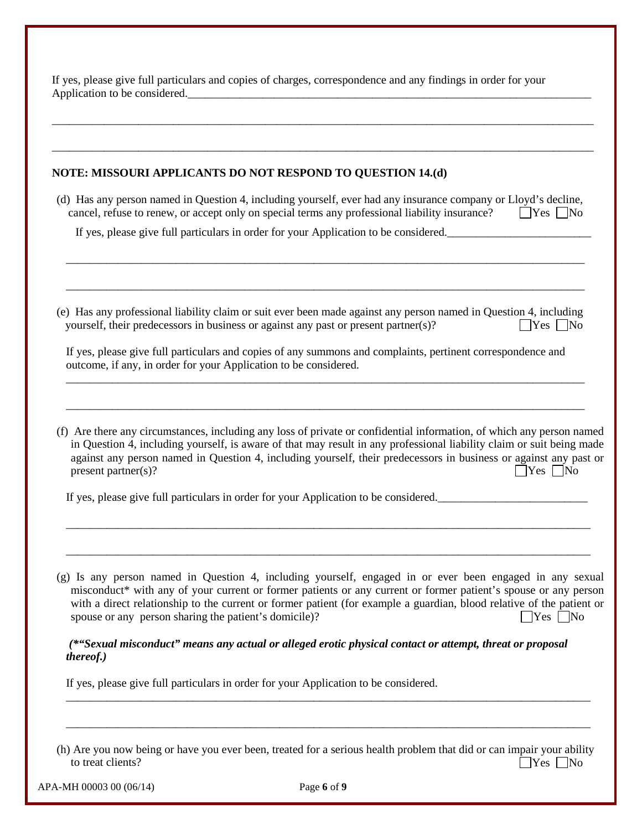If yes, please give full particulars and copies of charges, correspondence and any findings in order for your Application to be considered.

#### **NOTE: MISSOURI APPLICANTS DO NOT RESPOND TO QUESTION 14.(d)**

(d) Has any person named in Question 4, including yourself, ever had any insurance company or Lloyd's decline, cancel, refuse to renew, or accept only on special terms any professional liability insurance?  $\Box$  Yes  $\Box$  No

\_\_\_\_\_\_\_\_\_\_\_\_\_\_\_\_\_\_\_\_\_\_\_\_\_\_\_\_\_\_\_\_\_\_\_\_\_\_\_\_\_\_\_\_\_\_\_\_\_\_\_\_\_\_\_\_\_\_\_\_\_\_\_\_\_\_\_\_\_\_\_\_\_\_\_\_\_\_\_\_\_\_\_\_\_\_\_\_\_\_

\_\_\_\_\_\_\_\_\_\_\_\_\_\_\_\_\_\_\_\_\_\_\_\_\_\_\_\_\_\_\_\_\_\_\_\_\_\_\_\_\_\_\_\_\_\_\_\_\_\_\_\_\_\_\_\_\_\_\_\_\_\_\_\_\_\_\_\_\_\_\_\_\_\_\_\_\_\_\_\_\_\_\_\_\_\_\_\_\_\_

\_\_\_\_\_\_\_\_\_\_\_\_\_\_\_\_\_\_\_\_\_\_\_\_\_\_\_\_\_\_\_\_\_\_\_\_\_\_\_\_\_\_\_\_\_\_\_\_\_\_\_\_\_\_\_\_\_\_\_\_\_\_\_\_\_\_\_\_\_\_\_\_\_\_\_\_\_\_\_\_\_\_\_\_\_\_\_\_\_\_\_\_\_\_

\_\_\_\_\_\_\_\_\_\_\_\_\_\_\_\_\_\_\_\_\_\_\_\_\_\_\_\_\_\_\_\_\_\_\_\_\_\_\_\_\_\_\_\_\_\_\_\_\_\_\_\_\_\_\_\_\_\_\_\_\_\_\_\_\_\_\_\_\_\_\_\_\_\_\_\_\_\_\_\_\_\_\_\_\_\_\_\_\_\_\_\_\_\_

If yes, please give full particulars in order for your Application to be considered.

(e) Has any professional liability claim or suit ever been made against any person named in Question 4, including yourself, their predecessors in business or against any past or present partner(s)?  $\bigcap$  Yes  $\bigcap$  No

If yes, please give full particulars and copies of any summons and complaints, pertinent correspondence and outcome, if any, in order for your Application to be considered.

\_\_\_\_\_\_\_\_\_\_\_\_\_\_\_\_\_\_\_\_\_\_\_\_\_\_\_\_\_\_\_\_\_\_\_\_\_\_\_\_\_\_\_\_\_\_\_\_\_\_\_\_\_\_\_\_\_\_\_\_\_\_\_\_\_\_\_\_\_\_\_\_\_\_\_\_\_\_\_\_\_\_\_\_\_\_\_\_\_\_

\_\_\_\_\_\_\_\_\_\_\_\_\_\_\_\_\_\_\_\_\_\_\_\_\_\_\_\_\_\_\_\_\_\_\_\_\_\_\_\_\_\_\_\_\_\_\_\_\_\_\_\_\_\_\_\_\_\_\_\_\_\_\_\_\_\_\_\_\_\_\_\_\_\_\_\_\_\_\_\_\_\_\_\_\_\_\_\_\_\_

(f) Are there any circumstances, including any loss of private or confidential information, of which any person named in Question 4, including yourself, is aware of that may result in any professional liability claim or suit being made against any person named in Question 4, including yourself, their predecessors in business or against any past or present partner(s)?  $\Box$  Yes  $\Box$  No

If yes, please give full particulars in order for your Application to be considered.

(g) Is any person named in Question 4, including yourself, engaged in or ever been engaged in any sexual misconduct\* with any of your current or former patients or any current or former patient's spouse or any person with a direct relationship to the current or former patient (for example a guardian, blood relative of the patient or spouse or any person sharing the patient's domicile)?  $\Box$  Yes  $\Box$  Yes  $\Box$  No

\_\_\_\_\_\_\_\_\_\_\_\_\_\_\_\_\_\_\_\_\_\_\_\_\_\_\_\_\_\_\_\_\_\_\_\_\_\_\_\_\_\_\_\_\_\_\_\_\_\_\_\_\_\_\_\_\_\_\_\_\_\_\_\_\_\_\_\_\_\_\_\_\_\_\_\_\_\_\_\_\_\_\_\_\_\_\_\_\_\_\_

\_\_\_\_\_\_\_\_\_\_\_\_\_\_\_\_\_\_\_\_\_\_\_\_\_\_\_\_\_\_\_\_\_\_\_\_\_\_\_\_\_\_\_\_\_\_\_\_\_\_\_\_\_\_\_\_\_\_\_\_\_\_\_\_\_\_\_\_\_\_\_\_\_\_\_\_\_\_\_\_\_\_\_\_\_\_\_\_\_\_\_

*(\*"Sexual misconduct" means any actual or alleged erotic physical contact or attempt, threat or proposal thereof.)* 

If yes, please give full particulars in order for your Application to be considered.

(h) Are you now being or have you ever been, treated for a serious health problem that did or can impair your ability to treat clients?  $\Box$  Yes  $\Box$  No

\_\_\_\_\_\_\_\_\_\_\_\_\_\_\_\_\_\_\_\_\_\_\_\_\_\_\_\_\_\_\_\_\_\_\_\_\_\_\_\_\_\_\_\_\_\_\_\_\_\_\_\_\_\_\_\_\_\_\_\_\_\_\_\_\_\_\_\_\_\_\_\_\_\_\_\_\_\_\_\_\_\_\_\_\_\_\_\_\_\_\_

\_\_\_\_\_\_\_\_\_\_\_\_\_\_\_\_\_\_\_\_\_\_\_\_\_\_\_\_\_\_\_\_\_\_\_\_\_\_\_\_\_\_\_\_\_\_\_\_\_\_\_\_\_\_\_\_\_\_\_\_\_\_\_\_\_\_\_\_\_\_\_\_\_\_\_\_\_\_\_\_\_\_\_\_\_\_\_\_\_\_\_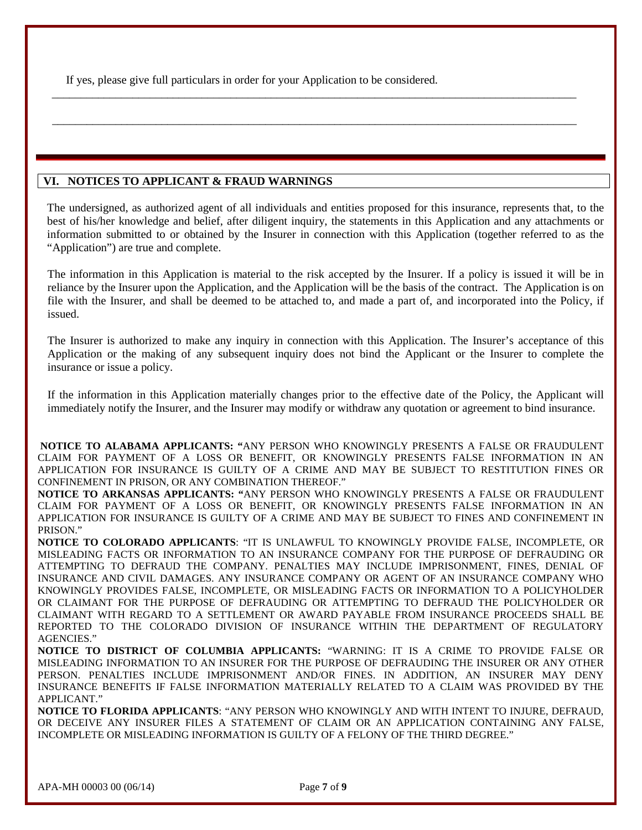If yes, please give full particulars in order for your Application to be considered.

## **VI. NOTICES TO APPLICANT & FRAUD WARNINGS**

The undersigned, as authorized agent of all individuals and entities proposed for this insurance, represents that, to the best of his/her knowledge and belief, after diligent inquiry, the statements in this Application and any attachments or information submitted to or obtained by the Insurer in connection with this Application (together referred to as the "Application") are true and complete.

\_\_\_\_\_\_\_\_\_\_\_\_\_\_\_\_\_\_\_\_\_\_\_\_\_\_\_\_\_\_\_\_\_\_\_\_\_\_\_\_\_\_\_\_\_\_\_\_\_\_\_\_\_\_\_\_\_\_\_\_\_\_\_\_\_\_\_\_\_\_\_\_\_\_\_\_\_\_\_\_\_\_\_\_\_\_\_\_\_\_\_

\_\_\_\_\_\_\_\_\_\_\_\_\_\_\_\_\_\_\_\_\_\_\_\_\_\_\_\_\_\_\_\_\_\_\_\_\_\_\_\_\_\_\_\_\_\_\_\_\_\_\_\_\_\_\_\_\_\_\_\_\_\_\_\_\_\_\_\_\_\_\_\_\_\_\_\_\_\_\_\_\_\_\_\_\_\_\_\_\_\_\_

The information in this Application is material to the risk accepted by the Insurer. If a policy is issued it will be in reliance by the Insurer upon the Application, and the Application will be the basis of the contract. The Application is on file with the Insurer, and shall be deemed to be attached to, and made a part of, and incorporated into the Policy, if issued.

The Insurer is authorized to make any inquiry in connection with this Application. The Insurer's acceptance of this Application or the making of any subsequent inquiry does not bind the Applicant or the Insurer to complete the insurance or issue a policy.

If the information in this Application materially changes prior to the effective date of the Policy, the Applicant will immediately notify the Insurer, and the Insurer may modify or withdraw any quotation or agreement to bind insurance.

**NOTICE TO ALABAMA APPLICANTS: "**ANY PERSON WHO KNOWINGLY PRESENTS A FALSE OR FRAUDULENT CLAIM FOR PAYMENT OF A LOSS OR BENEFIT, OR KNOWINGLY PRESENTS FALSE INFORMATION IN AN APPLICATION FOR INSURANCE IS GUILTY OF A CRIME AND MAY BE SUBJECT TO RESTITUTION FINES OR CONFINEMENT IN PRISON, OR ANY COMBINATION THEREOF."

**NOTICE TO ARKANSAS APPLICANTS: "**ANY PERSON WHO KNOWINGLY PRESENTS A FALSE OR FRAUDULENT CLAIM FOR PAYMENT OF A LOSS OR BENEFIT, OR KNOWINGLY PRESENTS FALSE INFORMATION IN AN APPLICATION FOR INSURANCE IS GUILTY OF A CRIME AND MAY BE SUBJECT TO FINES AND CONFINEMENT IN PRISON."

**NOTICE TO COLORADO APPLICANTS**: "IT IS UNLAWFUL TO KNOWINGLY PROVIDE FALSE, INCOMPLETE, OR MISLEADING FACTS OR INFORMATION TO AN INSURANCE COMPANY FOR THE PURPOSE OF DEFRAUDING OR ATTEMPTING TO DEFRAUD THE COMPANY. PENALTIES MAY INCLUDE IMPRISONMENT, FINES, DENIAL OF INSURANCE AND CIVIL DAMAGES. ANY INSURANCE COMPANY OR AGENT OF AN INSURANCE COMPANY WHO KNOWINGLY PROVIDES FALSE, INCOMPLETE, OR MISLEADING FACTS OR INFORMATION TO A POLICYHOLDER OR CLAIMANT FOR THE PURPOSE OF DEFRAUDING OR ATTEMPTING TO DEFRAUD THE POLICYHOLDER OR CLAIMANT WITH REGARD TO A SETTLEMENT OR AWARD PAYABLE FROM INSURANCE PROCEEDS SHALL BE REPORTED TO THE COLORADO DIVISION OF INSURANCE WITHIN THE DEPARTMENT OF REGULATORY AGENCIES."

**NOTICE TO DISTRICT OF COLUMBIA APPLICANTS:** "WARNING: IT IS A CRIME TO PROVIDE FALSE OR MISLEADING INFORMATION TO AN INSURER FOR THE PURPOSE OF DEFRAUDING THE INSURER OR ANY OTHER PERSON. PENALTIES INCLUDE IMPRISONMENT AND/OR FINES. IN ADDITION, AN INSURER MAY DENY INSURANCE BENEFITS IF FALSE INFORMATION MATERIALLY RELATED TO A CLAIM WAS PROVIDED BY THE APPLICANT."

**NOTICE TO FLORIDA APPLICANTS**: "ANY PERSON WHO KNOWINGLY AND WITH INTENT TO INJURE, DEFRAUD, OR DECEIVE ANY INSURER FILES A STATEMENT OF CLAIM OR AN APPLICATION CONTAINING ANY FALSE, INCOMPLETE OR MISLEADING INFORMATION IS GUILTY OF A FELONY OF THE THIRD DEGREE."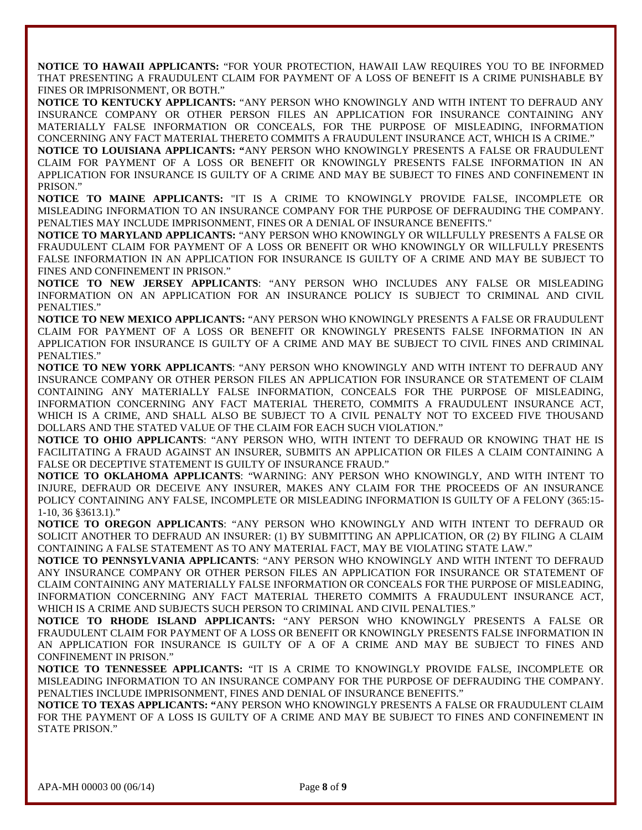**NOTICE TO HAWAII APPLICANTS:** "FOR YOUR PROTECTION, HAWAII LAW REQUIRES YOU TO BE INFORMED THAT PRESENTING A FRAUDULENT CLAIM FOR PAYMENT OF A LOSS OF BENEFIT IS A CRIME PUNISHABLE BY FINES OR IMPRISONMENT, OR BOTH."

**NOTICE TO KENTUCKY APPLICANTS:** "ANY PERSON WHO KNOWINGLY AND WITH INTENT TO DEFRAUD ANY INSURANCE COMPANY OR OTHER PERSON FILES AN APPLICATION FOR INSURANCE CONTAINING ANY MATERIALLY FALSE INFORMATION OR CONCEALS, FOR THE PURPOSE OF MISLEADING, INFORMATION CONCERNING ANY FACT MATERIAL THERETO COMMITS A FRAUDULENT INSURANCE ACT, WHICH IS A CRIME."

**NOTICE TO LOUISIANA APPLICANTS: "**ANY PERSON WHO KNOWINGLY PRESENTS A FALSE OR FRAUDULENT CLAIM FOR PAYMENT OF A LOSS OR BENEFIT OR KNOWINGLY PRESENTS FALSE INFORMATION IN AN APPLICATION FOR INSURANCE IS GUILTY OF A CRIME AND MAY BE SUBJECT TO FINES AND CONFINEMENT IN PRISON."

**NOTICE TO MAINE APPLICANTS:** "IT IS A CRIME TO KNOWINGLY PROVIDE FALSE, INCOMPLETE OR MISLEADING INFORMATION TO AN INSURANCE COMPANY FOR THE PURPOSE OF DEFRAUDING THE COMPANY. PENALTIES MAY INCLUDE IMPRISONMENT, FINES OR A DENIAL OF INSURANCE BENEFITS."

**NOTICE TO MARYLAND APPLICANTS:** "ANY PERSON WHO KNOWINGLY OR WILLFULLY PRESENTS A FALSE OR FRAUDULENT CLAIM FOR PAYMENT OF A LOSS OR BENEFIT OR WHO KNOWINGLY OR WILLFULLY PRESENTS FALSE INFORMATION IN AN APPLICATION FOR INSURANCE IS GUILTY OF A CRIME AND MAY BE SUBJECT TO FINES AND CONFINEMENT IN PRISON."

**NOTICE TO NEW JERSEY APPLICANTS**: "ANY PERSON WHO INCLUDES ANY FALSE OR MISLEADING INFORMATION ON AN APPLICATION FOR AN INSURANCE POLICY IS SUBJECT TO CRIMINAL AND CIVIL PENALTIES."

**NOTICE TO NEW MEXICO APPLICANTS:** "ANY PERSON WHO KNOWINGLY PRESENTS A FALSE OR FRAUDULENT CLAIM FOR PAYMENT OF A LOSS OR BENEFIT OR KNOWINGLY PRESENTS FALSE INFORMATION IN AN APPLICATION FOR INSURANCE IS GUILTY OF A CRIME AND MAY BE SUBJECT TO CIVIL FINES AND CRIMINAL PENALTIES."

**NOTICE TO NEW YORK APPLICANTS**: "ANY PERSON WHO KNOWINGLY AND WITH INTENT TO DEFRAUD ANY INSURANCE COMPANY OR OTHER PERSON FILES AN APPLICATION FOR INSURANCE OR STATEMENT OF CLAIM CONTAINING ANY MATERIALLY FALSE INFORMATION, CONCEALS FOR THE PURPOSE OF MISLEADING, INFORMATION CONCERNING ANY FACT MATERIAL THERETO, COMMITS A FRAUDULENT INSURANCE ACT, WHICH IS A CRIME, AND SHALL ALSO BE SUBJECT TO A CIVIL PENALTY NOT TO EXCEED FIVE THOUSAND DOLLARS AND THE STATED VALUE OF THE CLAIM FOR EACH SUCH VIOLATION."

**NOTICE TO OHIO APPLICANTS**: "ANY PERSON WHO, WITH INTENT TO DEFRAUD OR KNOWING THAT HE IS FACILITATING A FRAUD AGAINST AN INSURER, SUBMITS AN APPLICATION OR FILES A CLAIM CONTAINING A FALSE OR DECEPTIVE STATEMENT IS GUILTY OF INSURANCE FRAUD."

**NOTICE TO OKLAHOMA APPLICANTS**: "WARNING: ANY PERSON WHO KNOWINGLY, AND WITH INTENT TO INJURE, DEFRAUD OR DECEIVE ANY INSURER, MAKES ANY CLAIM FOR THE PROCEEDS OF AN INSURANCE POLICY CONTAINING ANY FALSE, INCOMPLETE OR MISLEADING INFORMATION IS GUILTY OF A FELONY (365:15- 1-10, 36 §3613.1)."

**NOTICE TO OREGON APPLICANTS**: "ANY PERSON WHO KNOWINGLY AND WITH INTENT TO DEFRAUD OR SOLICIT ANOTHER TO DEFRAUD AN INSURER: (1) BY SUBMITTING AN APPLICATION, OR (2) BY FILING A CLAIM CONTAINING A FALSE STATEMENT AS TO ANY MATERIAL FACT, MAY BE VIOLATING STATE LAW."

**NOTICE TO PENNSYLVANIA APPLICANTS**: "ANY PERSON WHO KNOWINGLY AND WITH INTENT TO DEFRAUD ANY INSURANCE COMPANY OR OTHER PERSON FILES AN APPLICATION FOR INSURANCE OR STATEMENT OF CLAIM CONTAINING ANY MATERIALLY FALSE INFORMATION OR CONCEALS FOR THE PURPOSE OF MISLEADING, INFORMATION CONCERNING ANY FACT MATERIAL THERETO COMMITS A FRAUDULENT INSURANCE ACT, WHICH IS A CRIME AND SUBJECTS SUCH PERSON TO CRIMINAL AND CIVIL PENALTIES."

**NOTICE TO RHODE ISLAND APPLICANTS:** "ANY PERSON WHO KNOWINGLY PRESENTS A FALSE OR FRAUDULENT CLAIM FOR PAYMENT OF A LOSS OR BENEFIT OR KNOWINGLY PRESENTS FALSE INFORMATION IN AN APPLICATION FOR INSURANCE IS GUILTY OF A OF A CRIME AND MAY BE SUBJECT TO FINES AND CONFINEMENT IN PRISON."

**NOTICE TO TENNESSEE APPLICANTS:** "IT IS A CRIME TO KNOWINGLY PROVIDE FALSE, INCOMPLETE OR MISLEADING INFORMATION TO AN INSURANCE COMPANY FOR THE PURPOSE OF DEFRAUDING THE COMPANY. PENALTIES INCLUDE IMPRISONMENT, FINES AND DENIAL OF INSURANCE BENEFITS."

**NOTICE TO TEXAS APPLICANTS: "**ANY PERSON WHO KNOWINGLY PRESENTS A FALSE OR FRAUDULENT CLAIM FOR THE PAYMENT OF A LOSS IS GUILTY OF A CRIME AND MAY BE SUBJECT TO FINES AND CONFINEMENT IN STATE PRISON."